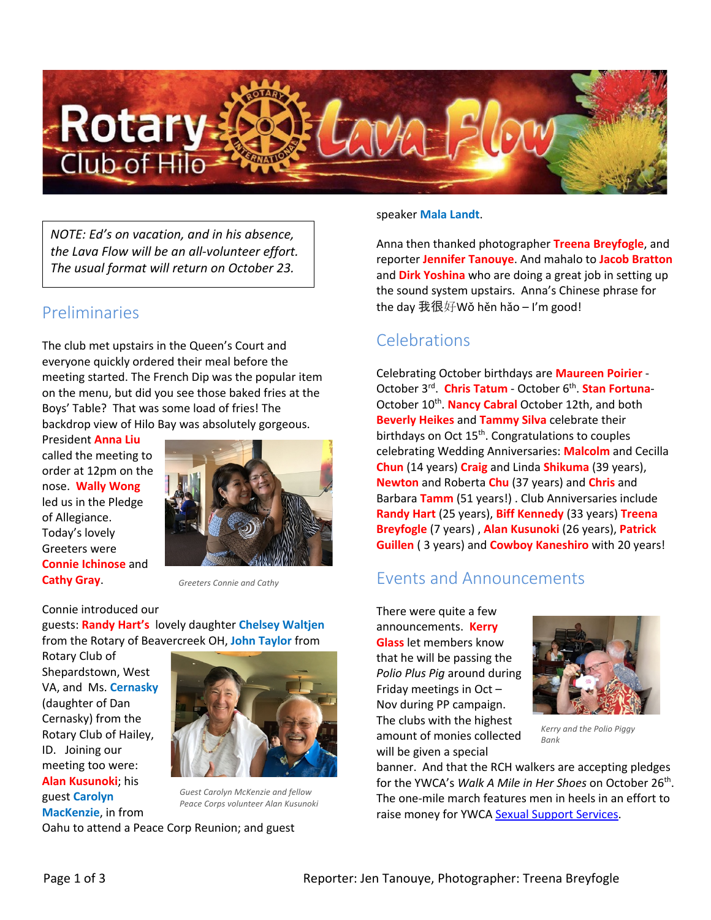

*NOTE: Ed's on vacation, and in his absence, the Lava Flow will be an all-volunteer effort. The usual format will return on October 23.*

### Preliminaries

The club met upstairs in the Queen's Court and everyone quickly ordered their meal before the meeting started. The French Dip was the popular item on the menu, but did you see those baked fries at the Boys' Table? That was some load of fries! The backdrop view of Hilo Bay was absolutely gorgeous.

President **Anna Liu** called the meeting to order at 12pm on the nose. **Wally Wong** led us in the Pledge of Allegiance. Today's lovely Greeters were **Connie Ichinose** and **Cathy Gray**.



*Greeters Connie and Cathy*

Connie introduced our guests: **Randy Hart's** lovely daughter **Chelsey Waltjen** from the Rotary of Beavercreek OH, **John Taylor** from

Rotary Club of Shepardstown, West VA, and Ms. **Cernasky** (daughter of Dan Cernasky) from the Rotary Club of Hailey, ID. Joining our meeting too were: **Alan Kusunoki**; his guest **Carolyn MacKenzie**, in from



*Guest Carolyn McKenzie and fellow Peace Corps volunteer Alan Kusunoki*

Oahu to attend a Peace Corp Reunion; and guest

speaker **Mala Landt**.

Anna then thanked photographer **Treena Breyfogle**, and reporter **Jennifer Tanouye**. And mahalo to **Jacob Bratton** and **Dirk Yoshina** who are doing a great job in setting up the sound system upstairs. Anna's Chinese phrase for the day 我很好Wǒ hěn hǎo – I'm good!

## Celebrations

Celebrating October birthdays are **Maureen Poirier** - October 3rd. **Chris Tatum** - October 6th. **Stan Fortuna**-October 10<sup>th</sup>. **Nancy Cabral** October 12th, and both **Beverly Heikes** and **Tammy Silva** celebrate their birthdays on Oct  $15<sup>th</sup>$ . Congratulations to couples celebrating Wedding Anniversaries: **Malcolm** and Cecilla **Chun** (14 years) **Craig** and Linda **Shikuma** (39 years), **Newton** and Roberta **Chu** (37 years) and **Chris** and Barbara **Tamm** (51 years!) . Club Anniversaries include **Randy Hart** (25 years), **Biff Kennedy** (33 years) **Treena Breyfogle** (7 years) , **Alan Kusunoki** (26 years), **Patrick Guillen** ( 3 years) and **Cowboy Kaneshiro** with 20 years!

### Events and Announcements

There were quite a few announcements. **Kerry Glass** let members know that he will be passing the *Polio Plus Pig* around during Friday meetings in Oct – Nov during PP campaign. The clubs with the highest amount of monies collected will be given a special



*Kerry and the Polio Piggy Bank*

banner. And that the RCH walkers are accepting pledges for the YWCA's *Walk A Mile in Her Shoes* on October 26th. The one-mile march features men in heels in an effort to raise money for YWCA Sexual Support Services.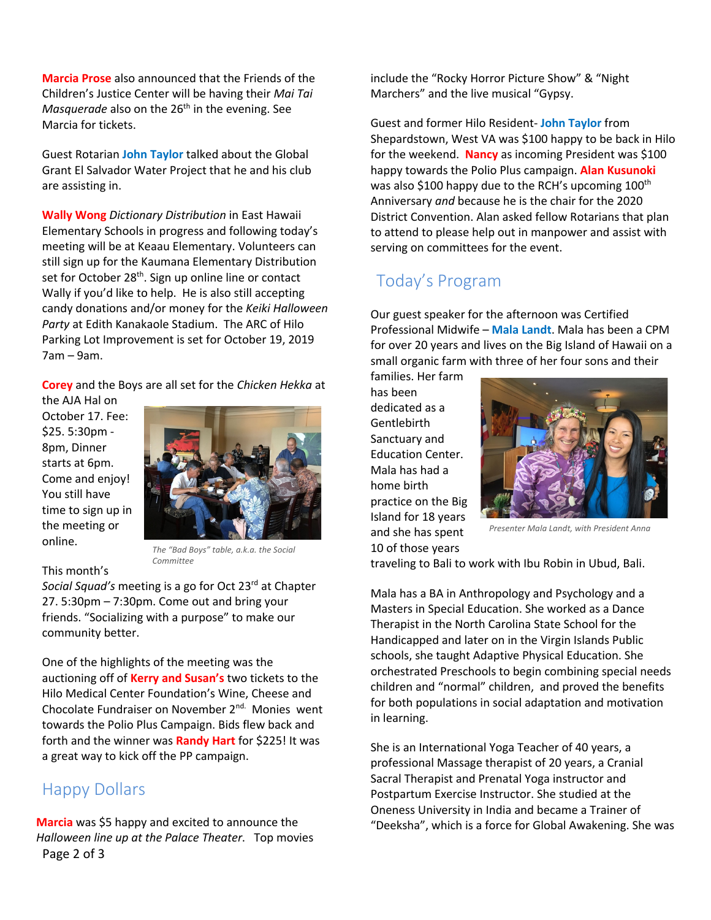**Marcia Prose** also announced that the Friends of the Children's Justice Center will be having their *Mai Tai Masquerade* also on the 26<sup>th</sup> in the evening. See Marcia for tickets.

Guest Rotarian **John Taylor** talked about the Global Grant El Salvador Water Project that he and his club are assisting in.

**Wally Wong** *Dictionary Distribution* in East Hawaii Elementary Schools in progress and following today's meeting will be at Keaau Elementary. Volunteers can still sign up for the Kaumana Elementary Distribution set for October 28<sup>th</sup>. Sign up online line or contact Wally if you'd like to help. He is also still accepting candy donations and/or money for the *Keiki Halloween Party* at Edith Kanakaole Stadium. The ARC of Hilo Parking Lot Improvement is set for October 19, 2019 7am – 9am.

**Corey** and the Boys are all set for the *Chicken Hekka* at

the AJA Hal on October 17. Fee: \$25. 5:30pm - 8pm, Dinner starts at 6pm. Come and enjoy! You still have time to sign up in the meeting or online.



*The "Bad Boys" table, a.k.a. the Social Committee*

#### This month's

*Social Squad's* meeting is a go for Oct 23rd at Chapter 27. 5:30pm – 7:30pm. Come out and bring your friends. "Socializing with a purpose" to make our community better.

One of the highlights of the meeting was the auctioning off of **Kerry and Susan's** two tickets to the Hilo Medical Center Foundation's Wine, Cheese and Chocolate Fundraiser on November 2<sup>nd.</sup> Monies went towards the Polio Plus Campaign. Bids flew back and forth and the winner was **Randy Hart** for \$225! It was a great way to kick off the PP campaign.

### Happy Dollars

Page 2 of 3 **Marcia** was \$5 happy and excited to announce the *Halloween line up at the Palace Theater*. Top movies include the "Rocky Horror Picture Show" & "Night Marchers" and the live musical "Gypsy.

Guest and former Hilo Resident- **John Taylor** from Shepardstown, West VA was \$100 happy to be back in Hilo for the weekend. **Nancy** as incoming President was \$100 happy towards the Polio Plus campaign. **Alan Kusunoki** was also \$100 happy due to the RCH's upcoming 100<sup>th</sup> Anniversary *and* because he is the chair for the 2020 District Convention. Alan asked fellow Rotarians that plan to attend to please help out in manpower and assist with serving on committees for the event.

# Today's Program

Our guest speaker for the afternoon was Certified Professional Midwife – **Mala Landt**. Mala has been a CPM for over 20 years and lives on the Big Island of Hawaii on a small organic farm with three of her four sons and their

families. Her farm has been dedicated as a Gentlebirth Sanctuary and Education Center. Mala has had a home birth practice on the Big Island for 18 years and she has spent 10 of those years



*Presenter Mala Landt, with President Anna*

traveling to Bali to work with Ibu Robin in Ubud, Bali.

Mala has a BA in Anthropology and Psychology and a Masters in Special Education. She worked as a Dance Therapist in the North Carolina State School for the Handicapped and later on in the Virgin Islands Public schools, she taught Adaptive Physical Education. She orchestrated Preschools to begin combining special needs children and "normal" children, and proved the benefits for both populations in social adaptation and motivation in learning.

She is an International Yoga Teacher of 40 years, a professional Massage therapist of 20 years, a Cranial Sacral Therapist and Prenatal Yoga instructor and Postpartum Exercise Instructor. She studied at the Oneness University in India and became a Trainer of "Deeksha", which is a force for Global Awakening. She was